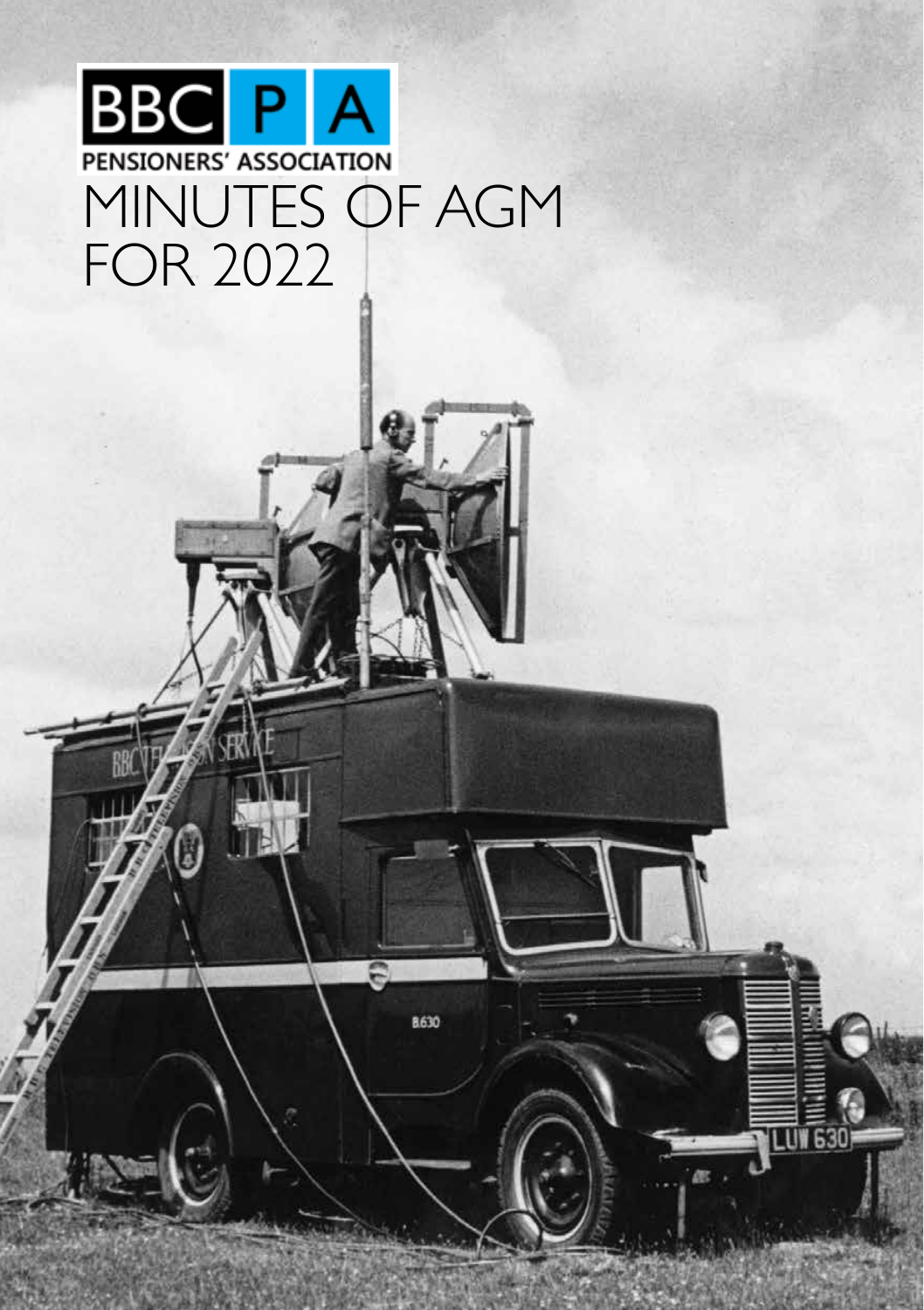# **BBC PA** MINUTES OF AGM FOR 2022

8630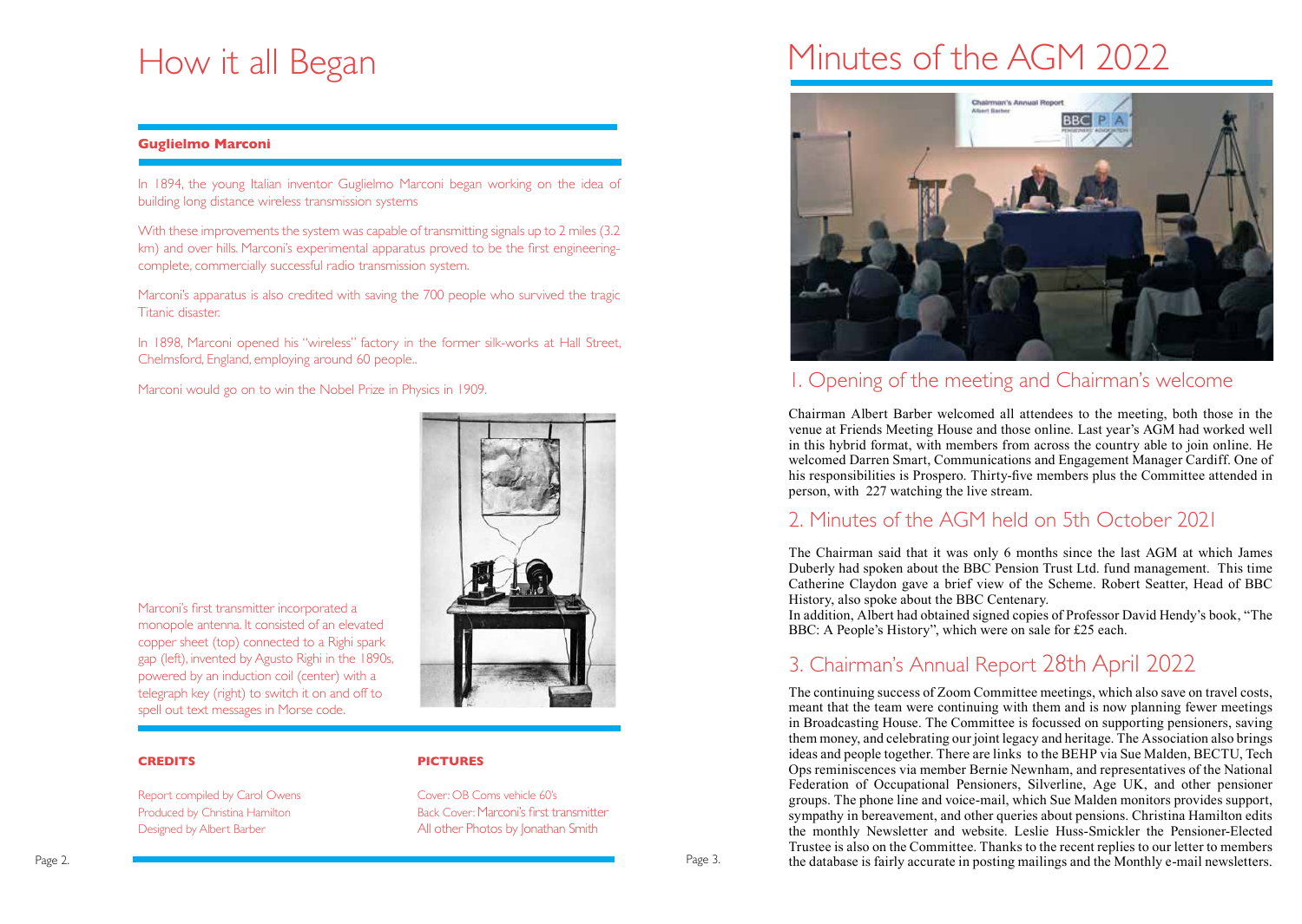# How it all Began

#### **Guglielmo Marconi**

In 1894, the young Italian inventor Guglielmo Marconi began working on the idea of building long distance wireless transmission systems

With these improvements the system was capable of transmitting signals up to 2 miles (3.2 km) and over hills. Marconi's experimental apparatus proved to be the first engineeringcomplete, commercially successful radio transmission system.

Marconi's apparatus is also credited with saving the 700 people who survived the tragic Titanic disaster.

In 1898, Marconi opened his "wireless" factory in the former silk-works at Hall Street, Chelmsford, England, employing around 60 people..

Marconi would go on to win the Nobel Prize in Physics in 1909.



Marconi's first transmitter incorporated a monopole antenna. It consisted of an elevated copper sheet (top) connected to a Righi spark gap (left), invented by Agusto Righi in the 1890s, powered by an induction coil (center) with a telegraph key (right) to switch it on and off to spell out text messages in Morse code.

Report compiled by Carol Owens Cover: OB Coms vehicle 60's

#### **CREDITS PICTURES**

Produced by Christina Hamilton Back Cover: Marconi's first transmitter Designed by Albert Barber **All other Photos by Jonathan Smith** 

# Minutes of the AGM 2022



# 1. Opening of the meeting and Chairman's welcome

Chairman Albert Barber welcomed all attendees to the meeting, both those in the venue at Friends Meeting House and those online. Last year's AGM had worked well in this hybrid format, with members from across the country able to join online. He welcomed Darren Smart, Communications and Engagement Manager Cardiff. One of his responsibilities is Prospero. Thirty-five members plus the Committee attended in person, with 227 watching the live stream.

### 2. Minutes of the AGM held on 5th October 2021

The Chairman said that it was only 6 months since the last AGM at which James Duberly had spoken about the BBC Pension Trust Ltd. fund management. This time Catherine Claydon gave a brief view of the Scheme. Robert Seatter, Head of BBC History, also spoke about the BBC Centenary.

In addition, Albert had obtained signed copies of Professor David Hendy's book, "The BBC: A People's History", which were on sale for £25 each.

# 3. Chairman's Annual Report 28th April 2022

The continuing success of Zoom Committee meetings, which also save on travel costs, meant that the team were continuing with them and is now planning fewer meetings in Broadcasting House. The Committee is focussed on supporting pensioners, saving them money, and celebrating our joint legacy and heritage. The Association also brings ideas and people together. There are links to the BEHP via Sue Malden, BECTU, Tech Ops reminiscences via member Bernie Newnham, and representatives of the National Federation of Occupational Pensioners, Silverline, Age UK, and other pensioner groups. The phone line and voice-mail, which Sue Malden monitors provides support, sympathy in bereavement, and other queries about pensions. Christina Hamilton edits the monthly Newsletter and website. Leslie Huss-Smickler the Pensioner-Elected Trustee is also on the Committee. Thanks to the recent replies to our letter to members the database is fairly accurate in posting mailings and the Monthly e-mail newsletters.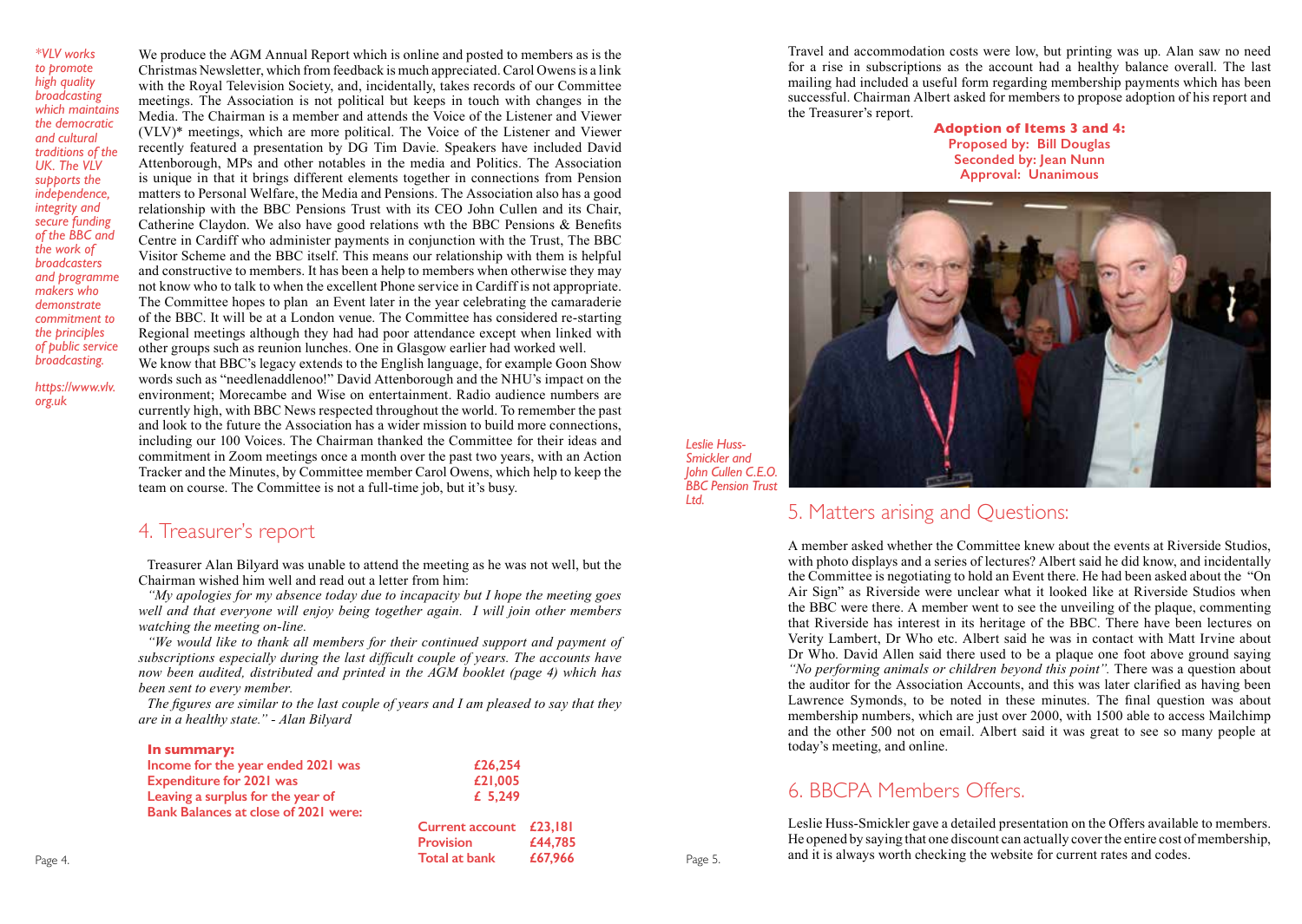*\*VLV works to promote high quality broadcasting which maintains the democratic and cultural traditions of the*  UK. The VIV *supports the independence, integrity and secure funding of the BBC and the work of broadcasters and programme makers who demonstrate commitment to the principles of public service broadcasting.*

We produce the AGM Annual Report which is online and posted to members as is the Christmas Newsletter, which from feedback is much appreciated. Carol Owens is a link with the Royal Television Society, and, incidentally, takes records of our Committee meetings. The Association is not political but keeps in touch with changes in the Media. The Chairman is a member and attends the Voice of the Listener and Viewer (VLV)\* meetings, which are more political. The Voice of the Listener and Viewer recently featured a presentation by DG Tim Davie. Speakers have included David Attenborough, MPs and other notables in the media and Politics. The Association is unique in that it brings different elements together in connections from Pension matters to Personal Welfare, the Media and Pensions. The Association also has a good relationship with the BBC Pensions Trust with its CEO John Cullen and its Chair, Catherine Claydon. We also have good relations wth the BBC Pensions & Benefits Centre in Cardiff who administer payments in conjunction with the Trust, The BBC Visitor Scheme and the BBC itself. This means our relationship with them is helpful and constructive to members. It has been a help to members when otherwise they may not know who to talk to when the excellent Phone service in Cardiff is not appropriate. The Committee hopes to plan an Event later in the year celebrating the camaraderie of the BBC. It will be at a London venue. The Committee has considered re-starting Regional meetings although they had had poor attendance except when linked with other groups such as reunion lunches. One in Glasgow earlier had worked well.

*https://www.vlv. org.uk*

We know that BBC's legacy extends to the English language, for example Goon Show words such as "needlenaddlenoo!" David Attenborough and the NHU's impact on the environment; Morecambe and Wise on entertainment. Radio audience numbers are currently high, with BBC News respected throughout the world. To remember the past and look to the future the Association has a wider mission to build more connections, including our 100 Voices. The Chairman thanked the Committee for their ideas and commitment in Zoom meetings once a month over the past two years, with an Action Tracker and the Minutes, by Committee member Carol Owens, which help to keep the team on course. The Committee is not a full-time job, but it's busy.

#### 4. Treasurer's report

Treasurer Alan Bilyard was unable to attend the meeting as he was not well, but the Chairman wished him well and read out a letter from him:

*"My apologies for my absence today due to incapacity but I hope the meeting goes well and that everyone will enjoy being together again. I will join other members watching the meeting on-line.*

*"We would like to thank all members for their continued support and payment of subscriptions especially during the last difficult couple of years. The accounts have now been audited, distributed and printed in the AGM booklet (page 4) which has been sent to every member.*

*The figures are similar to the last couple of years and I am pleased to say that they are in a healthy state." - Alan Bilyard* 

|         | In summary:                                 |                         |         |         |
|---------|---------------------------------------------|-------------------------|---------|---------|
|         | Income for the year ended 2021 was          | £26,254                 |         |         |
|         | <b>Expenditure for 2021 was</b>             | £21,005                 |         |         |
|         | Leaving a surplus for the year of           | £ $5,249$               |         |         |
|         | <b>Bank Balances at close of 2021 were:</b> |                         |         |         |
|         |                                             | Current account £23,181 |         |         |
|         |                                             | <b>Provision</b>        | £44,785 |         |
| Page 4. |                                             | Total at bank           | £67,966 | Page 5. |
|         |                                             |                         |         |         |

Travel and accommodation costs were low, but printing was up. Alan saw no need for a rise in subscriptions as the account had a healthy balance overall. The last mailing had included a useful form regarding membership payments which has been successful. Chairman Albert asked for members to propose adoption of his report and the Treasurer's report.

> **Adoption of Items 3 and 4: Proposed by: Bill Douglas Seconded by: Jean Nunn Approval: Unanimous**



*Leslie Huss-Smickler and John Cullen C.E.O. BBC Pension Trust Ltd.* 

### 5. Matters arising and Questions:

A member asked whether the Committee knew about the events at Riverside Studios, with photo displays and a series of lectures? Albert said he did know, and incidentally the Committee is negotiating to hold an Event there. He had been asked about the "On Air Sign" as Riverside were unclear what it looked like at Riverside Studios when the BBC were there. A member went to see the unveiling of the plaque, commenting that Riverside has interest in its heritage of the BBC. There have been lectures on Verity Lambert, Dr Who etc. Albert said he was in contact with Matt Irvine about Dr Who. David Allen said there used to be a plaque one foot above ground saying *"No performing animals or children beyond this point".* There was a question about the auditor for the Association Accounts, and this was later clarified as having been Lawrence Symonds, to be noted in these minutes. The final question was about membership numbers, which are just over 2000, with 1500 able to access Mailchimp and the other 500 not on email. Albert said it was great to see so many people at today's meeting, and online.

### 6. BBCPA Members Offers.

Leslie Huss-Smickler gave a detailed presentation on the Offers available to members. He opened by saying that one discount can actually cover the entire cost of membership, and it is always worth checking the website for current rates and codes.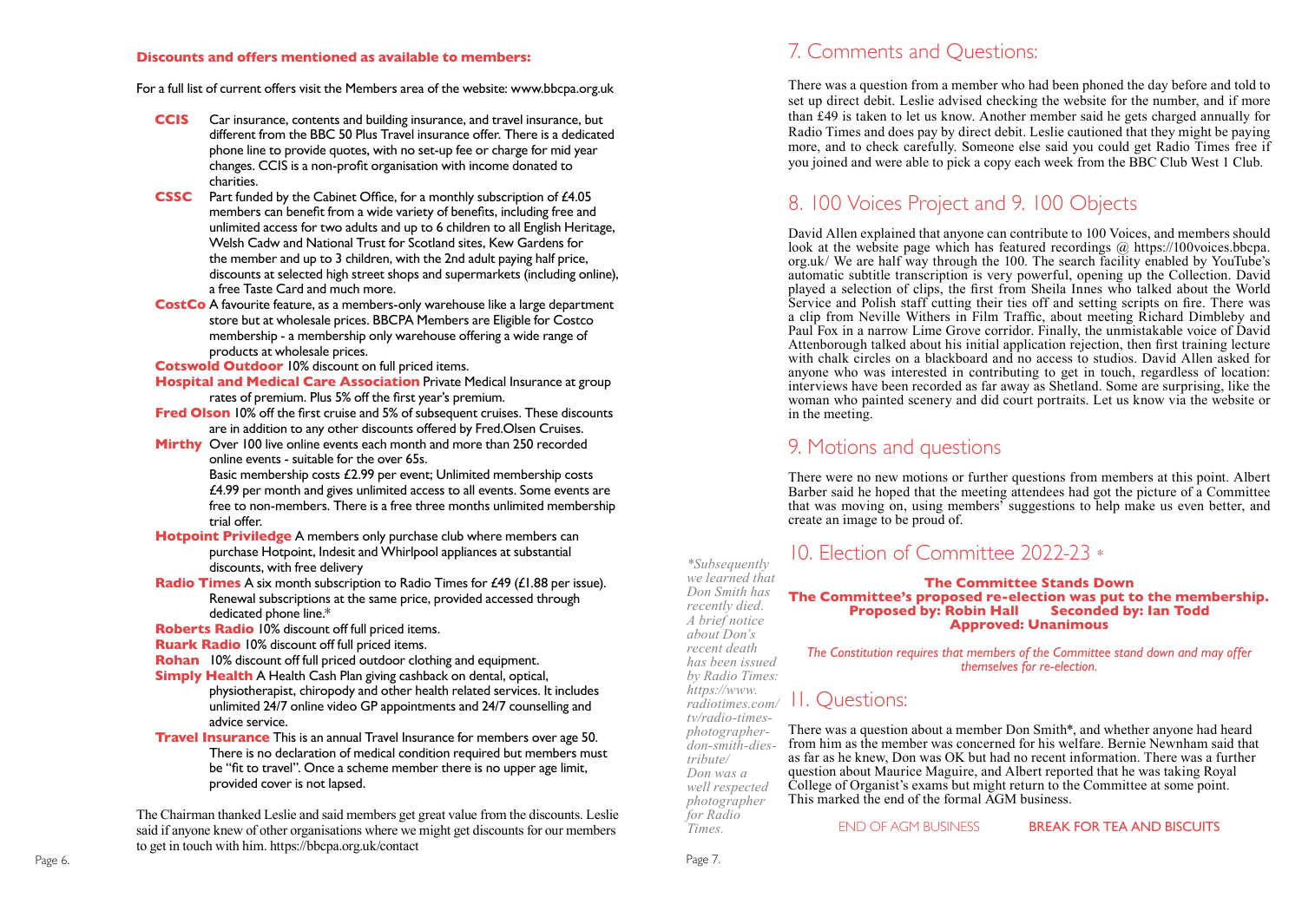#### **Discounts and offers mentioned as available to members:**

For a full list of current offers visit the Members area of the website: www.bbcpa.org.uk

- **CCIS** Car insurance, contents and building insurance, and travel insurance, but different from the BBC 50 Plus Travel insurance offer. There is a dedicated phone line to provide quotes, with no set-up fee or charge for mid year changes. CCIS is a non-profit organisation with income donated to charities.
- **CSSC** Part funded by the Cabinet Office, for a monthly subscription of £4.05 members can benefit from a wide variety of benefits, including free and unlimited access for two adults and up to 6 children to all English Heritage, Welsh Cadw and National Trust for Scotland sites, Kew Gardens for the member and up to 3 children, with the 2nd adult paying half price, discounts at selected high street shops and supermarkets (including online), a free Taste Card and much more.
- **CostCo** A favourite feature, as a members-only warehouse like a large department store but at wholesale prices. BBCPA Members are Eligible for Costco membership - a membership only warehouse offering a wide range of products at wholesale prices.

**Cotswold Outdoor** 10% discount on full priced items.

- **Hospital and Medical Care Association** Private Medical Insurance at group rates of premium. Plus 5% off the first year's premium.
- **Fred Olson** 10% off the first cruise and 5% of subsequent cruises. These discounts are in addition to any other discounts offered by Fred.Olsen Cruises.
- **Mirthy** Over 100 live online events each month and more than 250 recorded online events - suitable for the over 65s. Basic membership costs £2.99 per event; Unlimited membership costs £4.99 per month and gives unlimited access to all events. Some events are free to non-members. There is a free three months unlimited membership trial offer.
- **Hotpoint Priviledge** A members only purchase club where members can purchase Hotpoint, Indesit and Whirlpool appliances at substantial discounts, with free delivery
- **Radio Times** A six month subscription to Radio Times for £49 (£1.88 per issue). Renewal subscriptions at the same price, provided accessed through dedicated phone line.\*

**Roberts Radio** 10% discount off full priced items.

- **Ruark Radio** 10% discount off full priced items.
- **Rohan** 10% discount off full priced outdoor clothing and equipment.
- **Simply Health** A Health Cash Plan giving cashback on dental, optical, physiotherapist, chiropody and other health related services. It includes unlimited 24/7 online video GP appointments and 24/7 counselling and advice service.
- **Travel Insurance** This is an annual Travel Insurance for members over age 50. There is no declaration of medical condition required but members must be "fit to travel". Once a scheme member there is no upper age limit, provided cover is not lapsed.

The Chairman thanked Leslie and said members get great value from the discounts. Leslie said if anyone knew of other organisations where we might get discounts for our members to get in touch with him. https://bbcpa.org.uk/contact

### 7. Comments and Questions:

There was a question from a member who had been phoned the day before and told to set up direct debit. Leslie advised checking the website for the number, and if more than £49 is taken to let us know. Another member said he gets charged annually for Radio Times and does pay by direct debit. Leslie cautioned that they might be paying more, and to check carefully. Someone else said you could get Radio Times free if you joined and were able to pick a copy each week from the BBC Club West 1 Club.

# 8. 100 Voices Project and 9. 100 Objects

David Allen explained that anyone can contribute to 100 Voices, and members should look at the website page which has featured recordings @ https://100voices.bbcpa. org.uk/ We are half way through the 100. The search facility enabled by YouTube's automatic subtitle transcription is very powerful, opening up the Collection. David played a selection of clips, the first from Sheila Innes who talked about the World Service and Polish staff cutting their ties off and setting scripts on fire. There was a clip from Neville Withers in Film Traffic, about meeting Richard Dimbleby and Paul Fox in a narrow Lime Grove corridor. Finally, the unmistakable voice of David Attenborough talked about his initial application rejection, then first training lecture with chalk circles on a blackboard and no access to studios. David Allen asked for anyone who was interested in contributing to get in touch, regardless of location: interviews have been recorded as far away as Shetland. Some are surprising, like the woman who painted scenery and did court portraits. Let us know via the website or in the meeting.

#### 9. Motions and questions

There were no new motions or further questions from members at this point. Albert Barber said he hoped that the meeting attendees had got the picture of a Committee that was moving on, using members' suggestions to help make us even better, and create an image to be proud of.

# 10. Election of Committee 2022-23 *\**

#### **The Committee Stands Down The Committee's proposed re-election was put to the membership. Proposed by: Robin Hall Approved: Unanimous**

*The Constitution requires that members of the Committee stand down and may offer themselves for re-election.*

# 11. Questions:

There was a question about a member Don Smith\*, and whether anyone had heard from him as the member was concerned for his welfare. Bernie Newnham said that as far as he knew, Don was OK but had no recent information. There was a further question about Maurice Maguire, and Albert reported that he was taking Royal College of Organist's exams but might return to the Committee at some point. This marked the end of the formal AGM business.

END OF AGM BUSINESS **BREAK FOR TEA AND BISCUITS** 

*Times.*

*\*Subsequently we learned that Don Smith has recently died. A brief notice about Don's recent death has been issued by Radio Times: https://www. radiotimes.com/ tv/radio-timesphotographerdon-smith-diestribute/ Don was a well respected photographer for Radio* 

Page 6. Page 7. Page 7. Page 7. Page 7. Page 7. Page 7. Page 7. Page 7. Page 7. Page 7. Page 7. Page 7. Page 7.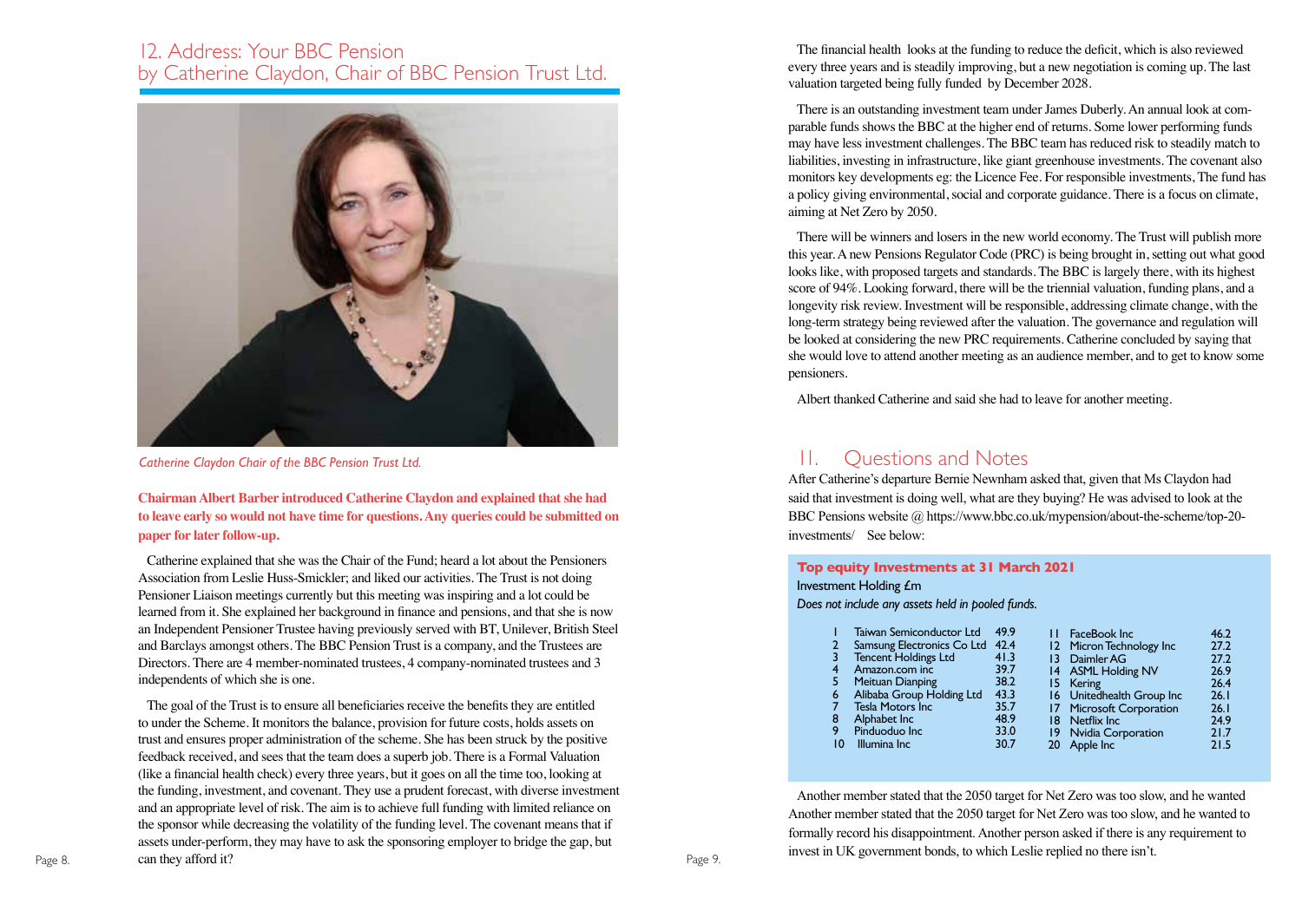#### 12. Address: Your BBC Pension by Catherine Claydon, Chair of BBC Pension Trust Ltd.



*Catherine Claydon Chair of the BBC Pension Trust Ltd.*

**Chairman Albert Barber introduced Catherine Claydon and explained that she had to leave early so would not have time for questions. Any queries could be submitted on paper for later follow-up.** 

Catherine explained that she was the Chair of the Fund; heard a lot about the Pensioners Association from Leslie Huss-Smickler; and liked our activities. The Trust is not doing Pensioner Liaison meetings currently but this meeting was inspiring and a lot could be learned from it. She explained her background in finance and pensions, and that she is now an Independent Pensioner Trustee having previously served with BT, Unilever, British Steel and Barclays amongst others. The BBC Pension Trust is a company, and the Trustees are Directors. There are 4 member-nominated trustees, 4 company-nominated trustees and 3 independents of which she is one.

The goal of the Trust is to ensure all beneficiaries receive the benefits they are entitled to under the Scheme. It monitors the balance, provision for future costs, holds assets on trust and ensures proper administration of the scheme. She has been struck by the positive feedback received, and sees that the team does a superb job. There is a Formal Valuation (like a financial health check) every three years, but it goes on all the time too, looking at the funding, investment, and covenant. They use a prudent forecast, with diverse investment and an appropriate level of risk. The aim is to achieve full funding with limited reliance on the sponsor while decreasing the volatility of the funding level. The covenant means that if assets under-perform, they may have to ask the sponsoring employer to bridge the gap, but Page 8. **Can they afford it? Can allocate 1.** Page 9. **Page 9.** Page 9.

The financial health looks at the funding to reduce the deficit, which is also reviewed every three years and is steadily improving, but a new negotiation is coming up. The last valuation targeted being fully funded by December 2028.

There is an outstanding investment team under James Duberly. An annual look at comparable funds shows the BBC at the higher end of returns. Some lower performing funds may have less investment challenges. The BBC team has reduced risk to steadily match to liabilities, investing in infrastructure, like giant greenhouse investments. The covenant also monitors key developments eg: the Licence Fee. For responsible investments, The fund has a policy giving environmental, social and corporate guidance. There is a focus on climate, aiming at Net Zero by 2050.

There will be winners and losers in the new world economy. The Trust will publish more this year. A new Pensions Regulator Code (PRC) is being brought in, setting out what good looks like, with proposed targets and standards. The BBC is largely there, with its highest score of 94%. Looking forward, there will be the triennial valuation, funding plans, and a longevity risk review. Investment will be responsible, addressing climate change, with the long-term strategy being reviewed after the valuation. The governance and regulation will be looked at considering the new PRC requirements. Catherine concluded by saying that she would love to attend another meeting as an audience member, and to get to know some pensioners.

Albert thanked Catherine and said she had to leave for another meeting.

### 11. Questions and Notes

After Catherine's departure Bernie Newnham asked that, given that Ms Claydon had said that investment is doing well, what are they buying? He was advised to look at the BBC Pensions website @ https://www.bbc.co.uk/mypension/about-the-scheme/top-20 investments/ See below:

#### **Top equity Investments at 31 March 2021**

#### Investment Holding £m

*Does not include any assets held in pooled funds.*

|    | Taiwan Semiconductor Ltd        | 49.9 | FaceBook Inc                          | 46.2 |
|----|---------------------------------|------|---------------------------------------|------|
|    | Samsung Electronics Co Ltd 42.4 |      | 12 Micron Technology Inc              | 27.2 |
|    | Tencent Holdings Ltd            | 41.3 | 13 Daimler AG                         | 27.2 |
| 4  | Amazon.com inc                  | 39.7 | 14 ASML Holding NV                    | 26.9 |
|    | Meituan Dianping                | 38.2 | 15 Kering                             | 26.4 |
| 6  | Alibaba Group Holding Ltd       | 43.3 | 16 Unitedhealth Group Inc             | 26.1 |
|    | <b>Tesla Motors Inc.</b>        | 35.7 | 17 Microsoft Corporation              | 26.1 |
| 8  | Alphabet Inc                    | 48.9 | 18 Netflix Inc                        | 24.9 |
| 9  | Pinduoduo Inc                   | 33.0 |                                       | 21.7 |
| 10 | Illumina Inc                    | 30.7 |                                       | 21.5 |
|    |                                 |      | 19 Nvidia Corporation<br>20 Apple Inc |      |

Another member stated that the 2050 target for Net Zero was too slow, and he wanted Another member stated that the 2050 target for Net Zero was too slow, and he wanted to formally record his disappointment. Another person asked if there is any requirement to invest in UK government bonds, to which Leslie replied no there isn't.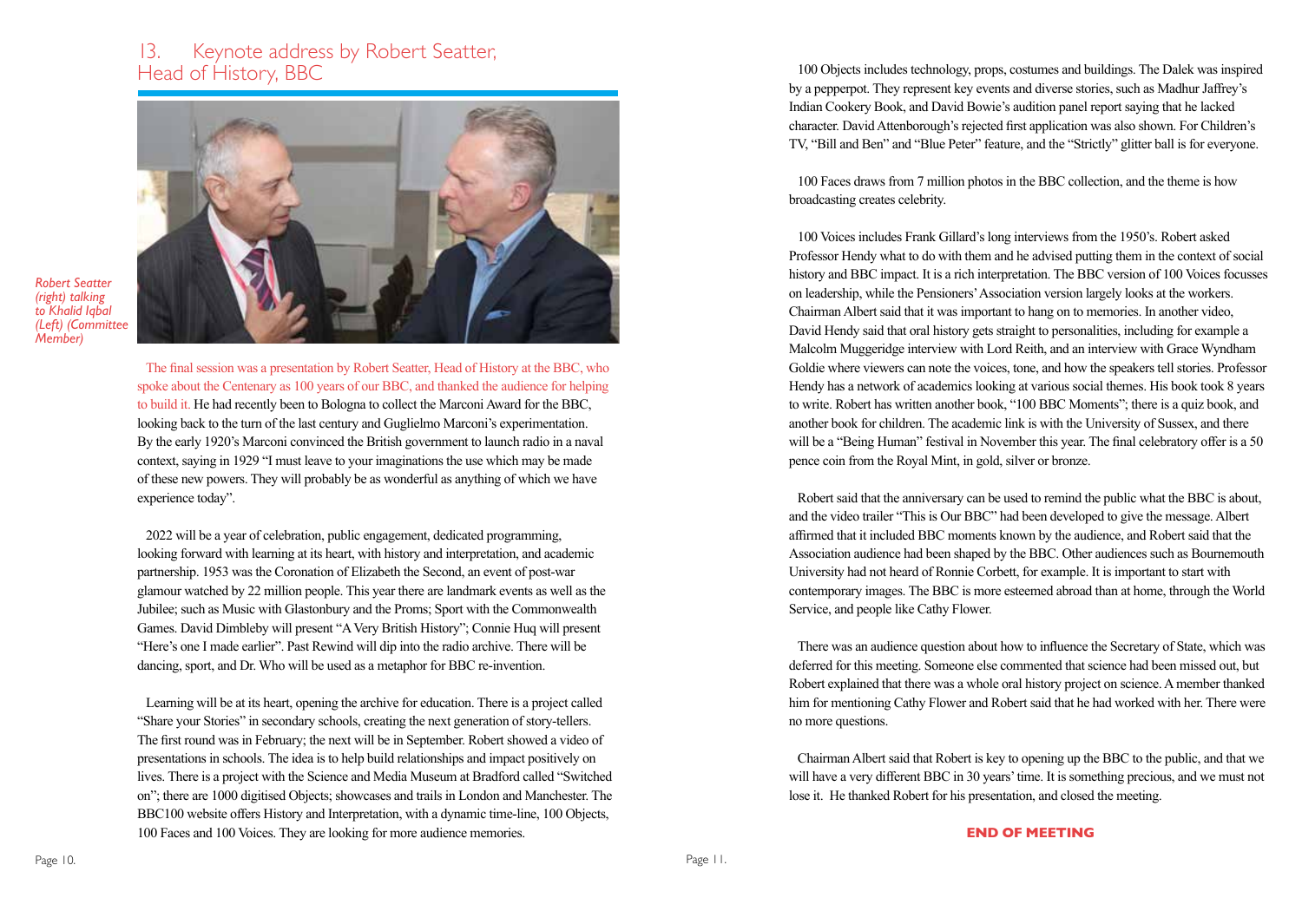# 13. Keynote address by Robert Seatter,<br>Head of History, BBC



*Robert Seatter (right) talking to Khalid Iqbal (Left) (Committee Member)*

> The final session was a presentation by Robert Seatter, Head of History at the BBC, who spoke about the Centenary as 100 years of our BBC, and thanked the audience for helping to build it. He had recently been to Bologna to collect the Marconi Award for the BBC, looking back to the turn of the last century and Guglielmo Marconi's experimentation. By the early 1920's Marconi convinced the British government to launch radio in a naval context, saying in 1929 "I must leave to your imaginations the use which may be made of these new powers. They will probably be as wonderful as anything of which we have experience today".

> 2022 will be a year of celebration, public engagement, dedicated programming, looking forward with learning at its heart, with history and interpretation, and academic partnership. 1953 was the Coronation of Elizabeth the Second, an event of post-war glamour watched by 22 million people. This year there are landmark events as well as the Jubilee; such as Music with Glastonbury and the Proms; Sport with the Commonwealth Games. David Dimbleby will present "A Very British History"; Connie Huq will present "Here's one I made earlier". Past Rewind will dip into the radio archive. There will be dancing, sport, and Dr. Who will be used as a metaphor for BBC re-invention.

Learning will be at its heart, opening the archive for education. There is a project called "Share your Stories" in secondary schools, creating the next generation of story-tellers. The first round was in February; the next will be in September. Robert showed a video of presentations in schools. The idea is to help build relationships and impact positively on lives. There is a project with the Science and Media Museum at Bradford called "Switched on"; there are 1000 digitised Objects; showcases and trails in London and Manchester. The BBC100 website offers History and Interpretation, with a dynamic time-line, 100 Objects, 100 Faces and 100 Voices. They are looking for more audience memories.

100 Objects includes technology, props, costumes and buildings. The Dalek was inspired by a pepperpot. They represent key events and diverse stories, such as Madhur Jaffrey's Indian Cookery Book, and David Bowie's audition panel report saying that he lacked character. David Attenborough's rejected first application was also shown. For Children's TV, "Bill and Ben" and "Blue Peter" feature, and the "Strictly" glitter ball is for everyone.

100 Faces draws from 7 million photos in the BBC collection, and the theme is how broadcasting creates celebrity.

100 Voices includes Frank Gillard's long interviews from the 1950's. Robert asked Professor Hendy what to do with them and he advised putting them in the context of social history and BBC impact. It is a rich interpretation. The BBC version of 100 Voices focusses on leadership, while the Pensioners' Association version largely looks at the workers. Chairman Albert said that it was important to hang on to memories. In another video, David Hendy said that oral history gets straight to personalities, including for example a Malcolm Muggeridge interview with Lord Reith, and an interview with Grace Wyndham Goldie where viewers can note the voices, tone, and how the speakers tell stories. Professor Hendy has a network of academics looking at various social themes. His book took 8 years to write. Robert has written another book, "100 BBC Moments"; there is a quiz book, and another book for children. The academic link is with the University of Sussex, and there will be a "Being Human" festival in November this year. The final celebratory offer is a 50 pence coin from the Royal Mint, in gold, silver or bronze.

Robert said that the anniversary can be used to remind the public what the BBC is about, and the video trailer "This is Our BBC" had been developed to give the message. Albert affirmed that it included BBC moments known by the audience, and Robert said that the Association audience had been shaped by the BBC. Other audiences such as Bournemouth University had not heard of Ronnie Corbett, for example. It is important to start with contemporary images. The BBC is more esteemed abroad than at home, through the World Service, and people like Cathy Flower.

There was an audience question about how to influence the Secretary of State, which was deferred for this meeting. Someone else commented that science had been missed out, but Robert explained that there was a whole oral history project on science. A member thanked him for mentioning Cathy Flower and Robert said that he had worked with her. There were no more questions.

Chairman Albert said that Robert is key to opening up the BBC to the public, and that we will have a very different BBC in 30 years' time. It is something precious, and we must not lose it. He thanked Robert for his presentation, and closed the meeting.

#### **END OF MEETING**